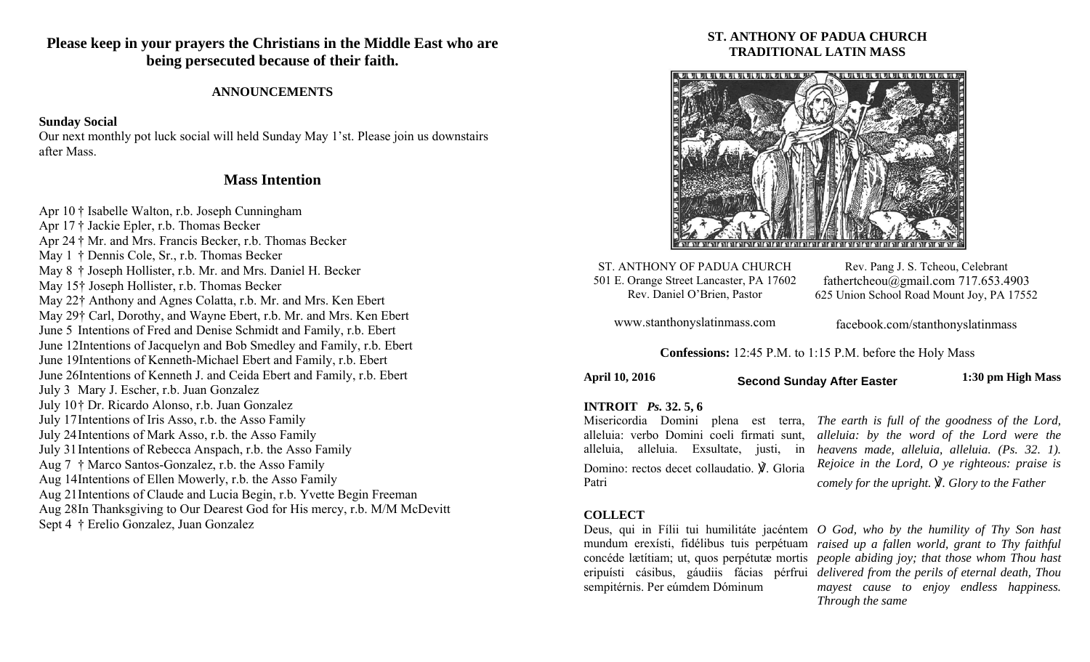**Please keep in your prayers the Christians in the Middle East who are being persecuted because of their faith.** 

#### **ANNOUNCEMENTS**

#### **Sunday Social**

Our next monthly pot luck social will held Sunday May 1'st. Please join us downstairs after Mass.

# **Mass Intention**

Apr 10 † Isabelle Walton, r.b. Joseph Cunningham Apr 17 † Jackie Epler, r.b. Thomas Becker Apr 24 † Mr. and Mrs. Francis Becker, r.b. Thomas Becker May 1 † Dennis Cole, Sr., r.b. Thomas Becker May 8 † Joseph Hollister, r.b. Mr. and Mrs. Daniel H. Becker May 15† Joseph Hollister, r.b. Thomas Becker May 22† Anthony and Agnes Colatta, r.b. Mr. and Mrs. Ken Ebert May 29† Carl, Dorothy, and Wayne Ebert, r.b. Mr. and Mrs. Ken Ebert June 5 Intentions of Fred and Denise Schmidt and Family, r.b. Ebert June 12Intentions of Jacquelyn and Bob Smedley and Family, r.b. Ebert June 19Intentions of Kenneth-Michael Ebert and Family, r.b. Ebert June 26Intentions of Kenneth J. and Ceida Ebert and Family, r.b. Ebert July 3 Mary J. Escher, r.b. Juan Gonzalez July 10 † Dr. Ricardo Alonso, r.b. Juan Gonzalez July 17 Intentions of Iris Asso, r.b. the Asso Family July 24 Intentions of Mark Asso, r.b. the Asso Family July 31 Intentions of Rebecca Anspach, r.b. the Asso Family Aug 7 † Marco Santos-Gonzalez, r.b. the Asso Family Aug 14 Intentions of Ellen Mowerly, r.b. the Asso Family Aug 21 Intentions of Claude and Lucia Begin, r.b. Yvette Begin Freeman Aug 28 In Thanksgiving to Our Dearest God for His mercy, r.b. M/M McDevitt Sept 4 † Erelio Gonzalez, Juan Gonzalez

## **ST. ANTHONY OF PADUA CHURCH TRADITIONAL LATIN MASS**



ST. ANTHONY OF PADUA CHURCH 501 E. Orange Street Lancaster, PA 17602 Rev. Daniel O'Brien, Pastor

Rev. Pang J. S. Tcheou, Celebrant fathertcheou@gmail.com 717.653.4903 625 Union School Road Mount Joy, PA 17552

www.stanthonyslatinmass.com

facebook.com/stanthonyslatinmass

**Confessions:** 12:45 P.M. to 1:15 P.M. before the Holy Mass

**April 10, 2016 1:30 pm High Mass Second Sunday After Easter** 

#### **INTROIT** *Ps.* **32. 5, 6**

alleluia: verbo Domini coeli firmati sunt, alleluia, alleluia. Exsultate, justi, in Domino: rectos decet collaudatio. ℣. Gloria Patri

Misericordia Domini plena est terra, *The earth is full of the goodness of the Lord, alleluia: by the word of the Lord were the heavens made, alleluia, alleluia. (Ps. 32. 1). Rejoice in the Lord, O ye righteous: praise is comely for the upright.* ℣*. Glory to the Father* 

#### **COLLECT**

sempitérnis. Per eúmdem Dóminum

Deus, qui in Fílii tui humilitáte jacéntem *O God, who by the humility of Thy Son hast*  mundum erexísti, fidélibus tuis perpétuam *raised up a fallen world, grant to Thy faithful*  concéde lætítiam; ut, quos perpétutæ mortis *people abiding joy; that those whom Thou hast*  eripuísti cásibus, gáudiis fácias pérfrui *delivered from the perils of eternal death, Thou mayest cause to enjoy endless happiness. Through the same*